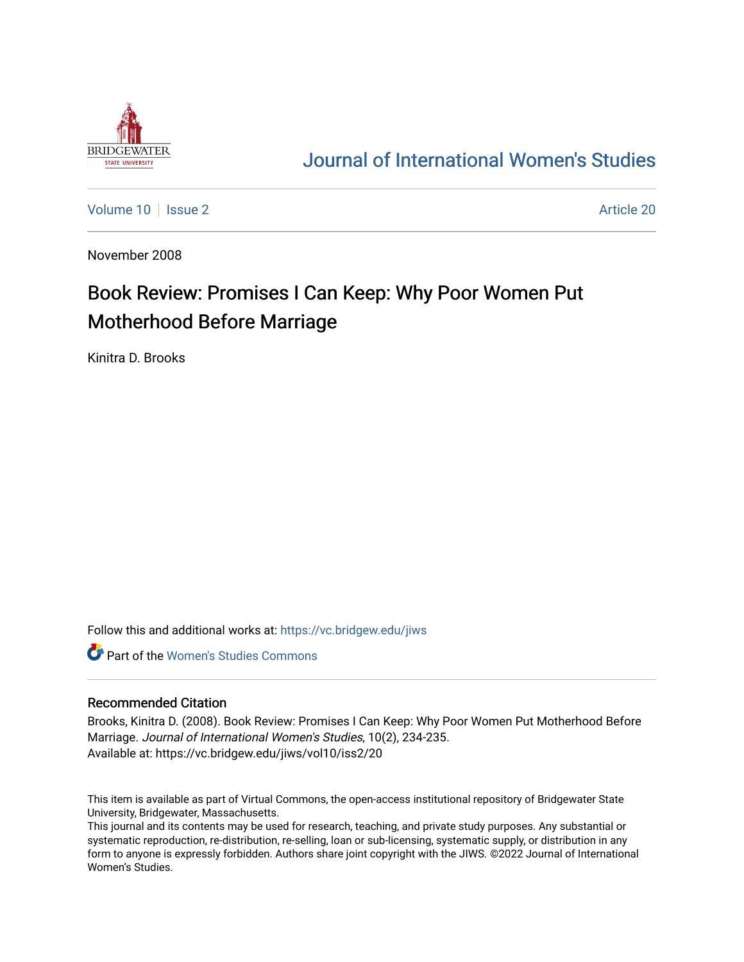

## [Journal of International Women's Studies](https://vc.bridgew.edu/jiws)

[Volume 10](https://vc.bridgew.edu/jiws/vol10) | [Issue 2](https://vc.bridgew.edu/jiws/vol10/iss2) Article 20

November 2008

# Book Review: Promises I Can Keep: Why Poor Women Put Motherhood Before Marriage

Kinitra D. Brooks

Follow this and additional works at: [https://vc.bridgew.edu/jiws](https://vc.bridgew.edu/jiws?utm_source=vc.bridgew.edu%2Fjiws%2Fvol10%2Fiss2%2F20&utm_medium=PDF&utm_campaign=PDFCoverPages)

**C** Part of the Women's Studies Commons

#### Recommended Citation

Brooks, Kinitra D. (2008). Book Review: Promises I Can Keep: Why Poor Women Put Motherhood Before Marriage. Journal of International Women's Studies, 10(2), 234-235. Available at: https://vc.bridgew.edu/jiws/vol10/iss2/20

This item is available as part of Virtual Commons, the open-access institutional repository of Bridgewater State University, Bridgewater, Massachusetts.

This journal and its contents may be used for research, teaching, and private study purposes. Any substantial or systematic reproduction, re-distribution, re-selling, loan or sub-licensing, systematic supply, or distribution in any form to anyone is expressly forbidden. Authors share joint copyright with the JIWS. ©2022 Journal of International Women's Studies.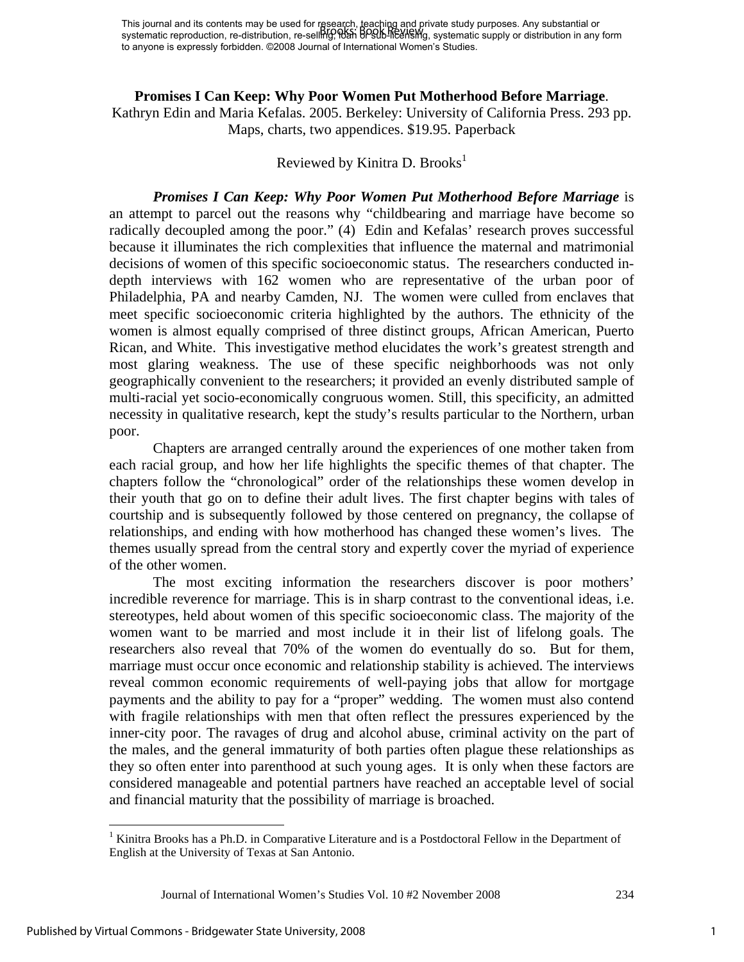#### **Promises I Can Keep: Why Poor Women Put Motherhood Before Marriage**.

Kathryn Edin and Maria Kefalas. 2005. Berkeley: University of California Press. 293 pp. Maps, charts, two appendices. \$19.95. Paperback

### Reviewed by Kinitra D. Brooks<sup>1</sup>

*Promises I Can Keep: Why Poor Women Put Motherhood Before Marriage* is an attempt to parcel out the reasons why "childbearing and marriage have become so radically decoupled among the poor." (4) Edin and Kefalas' research proves successful because it illuminates the rich complexities that influence the maternal and matrimonial decisions of women of this specific socioeconomic status. The researchers conducted indepth interviews with 162 women who are representative of the urban poor of Philadelphia, PA and nearby Camden, NJ. The women were culled from enclaves that meet specific socioeconomic criteria highlighted by the authors. The ethnicity of the women is almost equally comprised of three distinct groups, African American, Puerto Rican, and White. This investigative method elucidates the work's greatest strength and most glaring weakness. The use of these specific neighborhoods was not only geographically convenient to the researchers; it provided an evenly distributed sample of multi-racial yet socio-economically congruous women. Still, this specificity, an admitted necessity in qualitative research, kept the study's results particular to the Northern, urban poor.

Chapters are arranged centrally around the experiences of one mother taken from each racial group, and how her life highlights the specific themes of that chapter. The chapters follow the "chronological" order of the relationships these women develop in their youth that go on to define their adult lives. The first chapter begins with tales of courtship and is subsequently followed by those centered on pregnancy, the collapse of relationships, and ending with how motherhood has changed these women's lives. The themes usually spread from the central story and expertly cover the myriad of experience of the other women.

 The most exciting information the researchers discover is poor mothers' incredible reverence for marriage. This is in sharp contrast to the conventional ideas, i.e. stereotypes, held about women of this specific socioeconomic class. The majority of the women want to be married and most include it in their list of lifelong goals. The researchers also reveal that 70% of the women do eventually do so. But for them, marriage must occur once economic and relationship stability is achieved. The interviews reveal common economic requirements of well-paying jobs that allow for mortgage payments and the ability to pay for a "proper" wedding. The women must also contend with fragile relationships with men that often reflect the pressures experienced by the inner-city poor. The ravages of drug and alcohol abuse, criminal activity on the part of the males, and the general immaturity of both parties often plague these relationships as they so often enter into parenthood at such young ages. It is only when these factors are considered manageable and potential partners have reached an acceptable level of social and financial maturity that the possibility of marriage is broached.

1

<sup>&</sup>lt;sup>1</sup> Kinitra Brooks has a Ph.D. in Comparative Literature and is a Postdoctoral Fellow in the Department of English at the University of Texas at San Antonio.

Journal of International Women's Studies Vol. 10 #2 November 2008 234